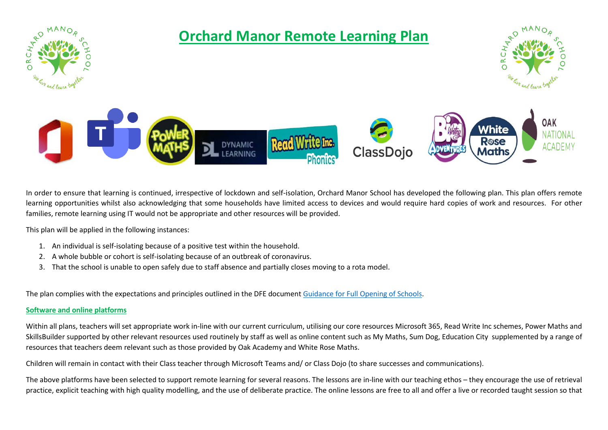

In order to ensure that learning is continued, irrespective of lockdown and self-isolation, Orchard Manor School has developed the following plan. This plan offers remote learning opportunities whilst also acknowledging that some households have limited access to devices and would require hard copies of work and resources. For other families, remote learning using IT would not be appropriate and other resources will be provided.

This plan will be applied in the following instances:

- 1. An individual is self-isolating because of a positive test within the household.
- 2. A whole bubble or cohort is self-isolating because of an outbreak of coronavirus.
- 3. That the school is unable to open safely due to staff absence and partially closes moving to a rota model.

The plan complies with the expectations and principles outlined in the DFE documen[t Guidance for Full Opening of Schools.](https://www.gov.uk/government/publications/actions-for-schools-during-the-coronavirus-outbreak/guidance-for-full-opening-schools#res)

#### **Software and online platforms**

Within all plans, teachers will set appropriate work in-line with our current curriculum, utilising our core resources Microsoft 365, Read Write Inc schemes, Power Maths and SkillsBuilder supported by other relevant resources used routinely by staff as well as online content such as My Maths, Sum Dog, Education City supplemented by a range of resources that teachers deem relevant such as those provided by Oak Academy and White Rose Maths.

Children will remain in contact with their Class teacher through Microsoft Teams and/ or Class Dojo (to share successes and communications).

The above platforms have been selected to support remote learning for several reasons. The lessons are in-line with our teaching ethos – they encourage the use of retrieval practice, explicit teaching with high quality modelling, and the use of deliberate practice. The online lessons are free to all and offer a live or recorded taught session so that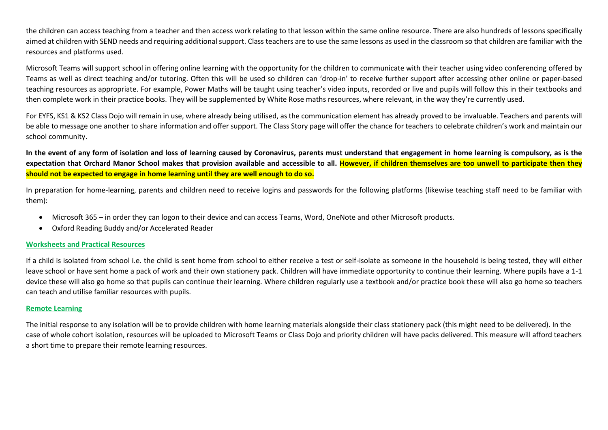the children can access teaching from a teacher and then access work relating to that lesson within the same online resource. There are also hundreds of lessons specifically aimed at children with SEND needs and requiring additional support. Class teachers are to use the same lessons as used in the classroom so that children are familiar with the resources and platforms used.

Microsoft Teams will support school in offering online learning with the opportunity for the children to communicate with their teacher using video conferencing offered by Teams as well as direct teaching and/or tutoring. Often this will be used so children can 'drop-in' to receive further support after accessing other online or paper-based teaching resources as appropriate. For example, Power Maths will be taught using teacher's video inputs, recorded or live and pupils will follow this in their textbooks and then complete work in their practice books. They will be supplemented by White Rose maths resources, where relevant, in the way they're currently used.

For EYFS, KS1 & KS2 Class Dojo will remain in use, where already being utilised, as the communication element has already proved to be invaluable. Teachers and parents will be able to message one another to share information and offer support. The Class Story page will offer the chance for teachers to celebrate children's work and maintain our school community.

**In the event of any form of isolation and loss of learning caused by Coronavirus, parents must understand that engagement in home learning is compulsory, as is the expectation that Orchard Manor School makes that provision available and accessible to all. However, if children themselves are too unwell to participate then they should not be expected to engage in home learning until they are well enough to do so.**

In preparation for home-learning, parents and children need to receive logins and passwords for the following platforms (likewise teaching staff need to be familiar with them):

- Microsoft 365 in order they can logon to their device and can access Teams, Word, OneNote and other Microsoft products.
- Oxford Reading Buddy and/or Accelerated Reader

#### **Worksheets and Practical Resources**

If a child is isolated from school i.e. the child is sent home from school to either receive a test or self-isolate as someone in the household is being tested, they will either leave school or have sent home a pack of work and their own stationery pack. Children will have immediate opportunity to continue their learning. Where pupils have a 1-1 device these will also go home so that pupils can continue their learning. Where children regularly use a textbook and/or practice book these will also go home so teachers can teach and utilise familiar resources with pupils.

#### **Remote Learning**

The initial response to any isolation will be to provide children with home learning materials alongside their class stationery pack (this might need to be delivered). In the case of whole cohort isolation, resources will be uploaded to Microsoft Teams or Class Dojo and priority children will have packs delivered. This measure will afford teachers a short time to prepare their remote learning resources.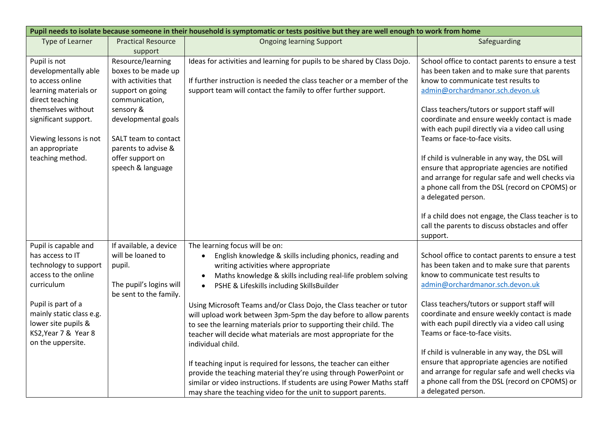|                          | Pupil needs to isolate because someone in their household is symptomatic or tests positive but they are well enough to work from home |                                                                          |                                                                                                  |  |  |  |
|--------------------------|---------------------------------------------------------------------------------------------------------------------------------------|--------------------------------------------------------------------------|--------------------------------------------------------------------------------------------------|--|--|--|
| <b>Type of Learner</b>   | <b>Practical Resource</b>                                                                                                             | <b>Ongoing learning Support</b>                                          | Safeguarding                                                                                     |  |  |  |
|                          | support                                                                                                                               |                                                                          |                                                                                                  |  |  |  |
| Pupil is not             | Resource/learning                                                                                                                     | Ideas for activities and learning for pupils to be shared by Class Dojo. | School office to contact parents to ensure a test                                                |  |  |  |
| developmentally able     | boxes to be made up                                                                                                                   |                                                                          | has been taken and to make sure that parents                                                     |  |  |  |
| to access online         | with activities that                                                                                                                  | If further instruction is needed the class teacher or a member of the    | know to communicate test results to                                                              |  |  |  |
| learning materials or    | support on going                                                                                                                      | support team will contact the family to offer further support.           | admin@orchardmanor.sch.devon.uk                                                                  |  |  |  |
| direct teaching          | communication,                                                                                                                        |                                                                          |                                                                                                  |  |  |  |
| themselves without       | sensory &                                                                                                                             |                                                                          | Class teachers/tutors or support staff will                                                      |  |  |  |
| significant support.     | developmental goals                                                                                                                   |                                                                          | coordinate and ensure weekly contact is made                                                     |  |  |  |
|                          |                                                                                                                                       |                                                                          | with each pupil directly via a video call using                                                  |  |  |  |
| Viewing lessons is not   | SALT team to contact                                                                                                                  |                                                                          | Teams or face-to-face visits.                                                                    |  |  |  |
| an appropriate           | parents to advise &                                                                                                                   |                                                                          |                                                                                                  |  |  |  |
| teaching method.         | offer support on<br>speech & language                                                                                                 |                                                                          | If child is vulnerable in any way, the DSL will<br>ensure that appropriate agencies are notified |  |  |  |
|                          |                                                                                                                                       |                                                                          | and arrange for regular safe and well checks via                                                 |  |  |  |
|                          |                                                                                                                                       |                                                                          | a phone call from the DSL (record on CPOMS) or                                                   |  |  |  |
|                          |                                                                                                                                       |                                                                          | a delegated person.                                                                              |  |  |  |
|                          |                                                                                                                                       |                                                                          |                                                                                                  |  |  |  |
|                          |                                                                                                                                       |                                                                          | If a child does not engage, the Class teacher is to                                              |  |  |  |
|                          |                                                                                                                                       |                                                                          | call the parents to discuss obstacles and offer                                                  |  |  |  |
|                          |                                                                                                                                       |                                                                          | support.                                                                                         |  |  |  |
| Pupil is capable and     | If available, a device                                                                                                                | The learning focus will be on:                                           |                                                                                                  |  |  |  |
| has access to IT         | will be loaned to                                                                                                                     | English knowledge & skills including phonics, reading and                | School office to contact parents to ensure a test                                                |  |  |  |
| technology to support    | pupil.                                                                                                                                | writing activities where appropriate                                     | has been taken and to make sure that parents                                                     |  |  |  |
| access to the online     |                                                                                                                                       | Maths knowledge & skills including real-life problem solving             | know to communicate test results to                                                              |  |  |  |
| curriculum               | The pupil's logins will                                                                                                               | PSHE & Lifeskills including SkillsBuilder                                | admin@orchardmanor.sch.devon.uk                                                                  |  |  |  |
|                          | be sent to the family.                                                                                                                |                                                                          |                                                                                                  |  |  |  |
| Pupil is part of a       |                                                                                                                                       | Using Microsoft Teams and/or Class Dojo, the Class teacher or tutor      | Class teachers/tutors or support staff will                                                      |  |  |  |
| mainly static class e.g. |                                                                                                                                       | will upload work between 3pm-5pm the day before to allow parents         | coordinate and ensure weekly contact is made                                                     |  |  |  |
| lower site pupils &      |                                                                                                                                       | to see the learning materials prior to supporting their child. The       | with each pupil directly via a video call using                                                  |  |  |  |
| KS2, Year 7 & Year 8     |                                                                                                                                       | teacher will decide what materials are most appropriate for the          | Teams or face-to-face visits.                                                                    |  |  |  |
| on the uppersite.        |                                                                                                                                       | individual child.                                                        |                                                                                                  |  |  |  |
|                          |                                                                                                                                       |                                                                          | If child is vulnerable in any way, the DSL will                                                  |  |  |  |
|                          |                                                                                                                                       | If teaching input is required for lessons, the teacher can either        | ensure that appropriate agencies are notified                                                    |  |  |  |
|                          |                                                                                                                                       | provide the teaching material they're using through PowerPoint or        | and arrange for regular safe and well checks via                                                 |  |  |  |
|                          |                                                                                                                                       | similar or video instructions. If students are using Power Maths staff   | a phone call from the DSL (record on CPOMS) or                                                   |  |  |  |
|                          |                                                                                                                                       | may share the teaching video for the unit to support parents.            | a delegated person.                                                                              |  |  |  |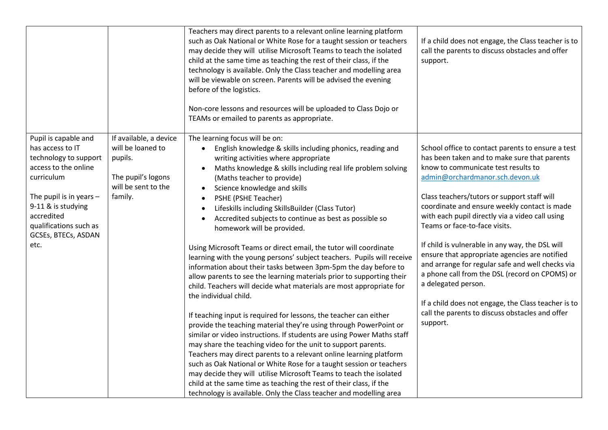|                                                                                                                                                                                                                                   |                                                                                                                | Teachers may direct parents to a relevant online learning platform<br>such as Oak National or White Rose for a taught session or teachers<br>may decide they will utilise Microsoft Teams to teach the isolated<br>child at the same time as teaching the rest of their class, if the<br>technology is available. Only the Class teacher and modelling area<br>will be viewable on screen. Parents will be advised the evening<br>before of the logistics.<br>Non-core lessons and resources will be uploaded to Class Dojo or<br>TEAMs or emailed to parents as appropriate.                                                                                                                                                                                                                                                                                                                                                                                                                                                                                                                                                                                                                                                                                                                                                                                                                                                                                                                                                                       | If a child does not engage, the Class teacher is to<br>call the parents to discuss obstacles and offer<br>support.                                                                                                                                                                                                                                                                                                                                                                                                                                                                                                                                                                                                    |
|-----------------------------------------------------------------------------------------------------------------------------------------------------------------------------------------------------------------------------------|----------------------------------------------------------------------------------------------------------------|-----------------------------------------------------------------------------------------------------------------------------------------------------------------------------------------------------------------------------------------------------------------------------------------------------------------------------------------------------------------------------------------------------------------------------------------------------------------------------------------------------------------------------------------------------------------------------------------------------------------------------------------------------------------------------------------------------------------------------------------------------------------------------------------------------------------------------------------------------------------------------------------------------------------------------------------------------------------------------------------------------------------------------------------------------------------------------------------------------------------------------------------------------------------------------------------------------------------------------------------------------------------------------------------------------------------------------------------------------------------------------------------------------------------------------------------------------------------------------------------------------------------------------------------------------|-----------------------------------------------------------------------------------------------------------------------------------------------------------------------------------------------------------------------------------------------------------------------------------------------------------------------------------------------------------------------------------------------------------------------------------------------------------------------------------------------------------------------------------------------------------------------------------------------------------------------------------------------------------------------------------------------------------------------|
| Pupil is capable and<br>has access to IT<br>technology to support<br>access to the online<br>curriculum<br>The pupil is in years $-$<br>9-11 & is studying<br>accredited<br>qualifications such as<br>GCSEs, BTECs, ASDAN<br>etc. | If available, a device<br>will be loaned to<br>pupils.<br>The pupil's logons<br>will be sent to the<br>family. | The learning focus will be on:<br>English knowledge & skills including phonics, reading and<br>$\bullet$<br>writing activities where appropriate<br>Maths knowledge & skills including real life problem solving<br>$\bullet$<br>(Maths teacher to provide)<br>Science knowledge and skills<br>$\bullet$<br>PSHE (PSHE Teacher)<br>$\bullet$<br>Lifeskills including SkillsBuilder (Class Tutor)<br>$\bullet$<br>Accredited subjects to continue as best as possible so<br>homework will be provided.<br>Using Microsoft Teams or direct email, the tutor will coordinate<br>learning with the young persons' subject teachers. Pupils will receive<br>information about their tasks between 3pm-5pm the day before to<br>allow parents to see the learning materials prior to supporting their<br>child. Teachers will decide what materials are most appropriate for<br>the individual child.<br>If teaching input is required for lessons, the teacher can either<br>provide the teaching material they're using through PowerPoint or<br>similar or video instructions. If students are using Power Maths staff<br>may share the teaching video for the unit to support parents.<br>Teachers may direct parents to a relevant online learning platform<br>such as Oak National or White Rose for a taught session or teachers<br>may decide they will utilise Microsoft Teams to teach the isolated<br>child at the same time as teaching the rest of their class, if the<br>technology is available. Only the Class teacher and modelling area | School office to contact parents to ensure a test<br>has been taken and to make sure that parents<br>know to communicate test results to<br>admin@orchardmanor.sch.devon.uk<br>Class teachers/tutors or support staff will<br>coordinate and ensure weekly contact is made<br>with each pupil directly via a video call using<br>Teams or face-to-face visits.<br>If child is vulnerable in any way, the DSL will<br>ensure that appropriate agencies are notified<br>and arrange for regular safe and well checks via<br>a phone call from the DSL (record on CPOMS) or<br>a delegated person.<br>If a child does not engage, the Class teacher is to<br>call the parents to discuss obstacles and offer<br>support. |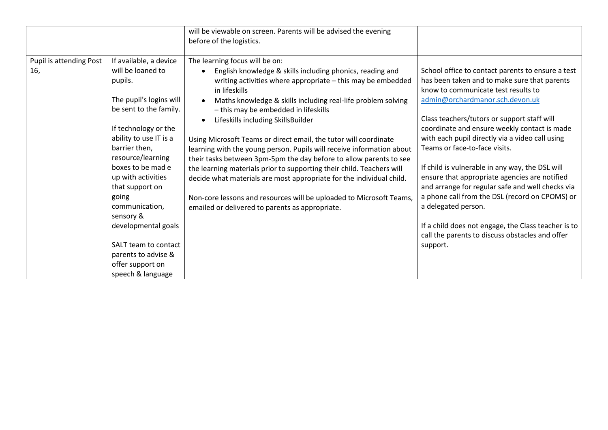|                                |                                                                                                                                                                                                                                                                                                                                                                                                     | will be viewable on screen. Parents will be advised the evening<br>before of the logistics.                                                                                                                                                                                                                                                                                                                                                                                                                                                                                                                                                                                                                                                                                                                             |                                                                                                                                                                                                                                                                                                                                                                                                                                                                                                                                                                                                                                                                                                                       |
|--------------------------------|-----------------------------------------------------------------------------------------------------------------------------------------------------------------------------------------------------------------------------------------------------------------------------------------------------------------------------------------------------------------------------------------------------|-------------------------------------------------------------------------------------------------------------------------------------------------------------------------------------------------------------------------------------------------------------------------------------------------------------------------------------------------------------------------------------------------------------------------------------------------------------------------------------------------------------------------------------------------------------------------------------------------------------------------------------------------------------------------------------------------------------------------------------------------------------------------------------------------------------------------|-----------------------------------------------------------------------------------------------------------------------------------------------------------------------------------------------------------------------------------------------------------------------------------------------------------------------------------------------------------------------------------------------------------------------------------------------------------------------------------------------------------------------------------------------------------------------------------------------------------------------------------------------------------------------------------------------------------------------|
| Pupil is attending Post<br>16, | If available, a device<br>will be loaned to<br>pupils.<br>The pupil's logins will<br>be sent to the family.<br>If technology or the<br>ability to use IT is a<br>barrier then,<br>resource/learning<br>boxes to be mad e<br>up with activities<br>that support on<br>going<br>communication,<br>sensory &<br>developmental goals<br>SALT team to contact<br>parents to advise &<br>offer support on | The learning focus will be on:<br>English knowledge & skills including phonics, reading and<br>writing activities where appropriate - this may be embedded<br>in lifeskills<br>Maths knowledge & skills including real-life problem solving<br>- this may be embedded in lifeskills<br>Lifeskills including SkillsBuilder<br>Using Microsoft Teams or direct email, the tutor will coordinate<br>learning with the young person. Pupils will receive information about<br>their tasks between 3pm-5pm the day before to allow parents to see<br>the learning materials prior to supporting their child. Teachers will<br>decide what materials are most appropriate for the individual child.<br>Non-core lessons and resources will be uploaded to Microsoft Teams,<br>emailed or delivered to parents as appropriate. | School office to contact parents to ensure a test<br>has been taken and to make sure that parents<br>know to communicate test results to<br>admin@orchardmanor.sch.devon.uk<br>Class teachers/tutors or support staff will<br>coordinate and ensure weekly contact is made<br>with each pupil directly via a video call using<br>Teams or face-to-face visits.<br>If child is vulnerable in any way, the DSL will<br>ensure that appropriate agencies are notified<br>and arrange for regular safe and well checks via<br>a phone call from the DSL (record on CPOMS) or<br>a delegated person.<br>If a child does not engage, the Class teacher is to<br>call the parents to discuss obstacles and offer<br>support. |
|                                | speech & language                                                                                                                                                                                                                                                                                                                                                                                   |                                                                                                                                                                                                                                                                                                                                                                                                                                                                                                                                                                                                                                                                                                                                                                                                                         |                                                                                                                                                                                                                                                                                                                                                                                                                                                                                                                                                                                                                                                                                                                       |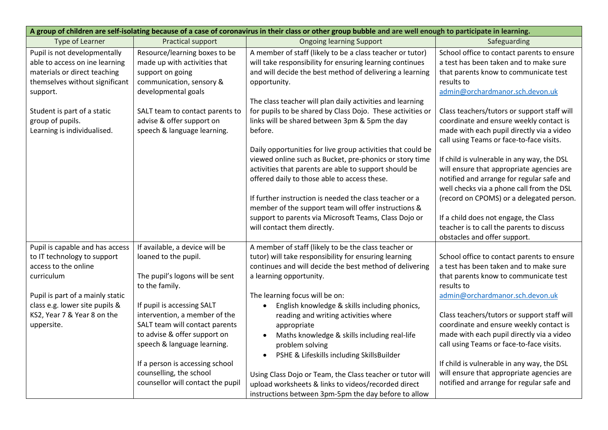| A group of children are self-isolating because of a case of coronavirus in their class or other group bubble and are well enough to participate in learning. |                                                   |                                                             |                                                     |
|--------------------------------------------------------------------------------------------------------------------------------------------------------------|---------------------------------------------------|-------------------------------------------------------------|-----------------------------------------------------|
| Type of Learner                                                                                                                                              | Practical support                                 | <b>Ongoing learning Support</b>                             | Safeguarding                                        |
| Pupil is not developmentally                                                                                                                                 | Resource/learning boxes to be                     | A member of staff (likely to be a class teacher or tutor)   | School office to contact parents to ensure          |
| able to access on ine learning                                                                                                                               | made up with activities that                      | will take responsibility for ensuring learning continues    | a test has been taken and to make sure              |
| materials or direct teaching                                                                                                                                 | support on going                                  | and will decide the best method of delivering a learning    | that parents know to communicate test<br>results to |
| themselves without significant<br>support.                                                                                                                   | communication, sensory &<br>developmental goals   | opportunity.                                                | admin@orchardmanor.sch.devon.uk                     |
|                                                                                                                                                              |                                                   | The class teacher will plan daily activities and learning   |                                                     |
| Student is part of a static                                                                                                                                  | SALT team to contact parents to                   | for pupils to be shared by Class Dojo. These activities or  | Class teachers/tutors or support staff will         |
| group of pupils.                                                                                                                                             | advise & offer support on                         | links will be shared between 3pm & 5pm the day              | coordinate and ensure weekly contact is             |
| Learning is individualised.                                                                                                                                  | speech & language learning.                       | before.                                                     | made with each pupil directly via a video           |
|                                                                                                                                                              |                                                   |                                                             | call using Teams or face-to-face visits.            |
|                                                                                                                                                              |                                                   | Daily opportunities for live group activities that could be |                                                     |
|                                                                                                                                                              |                                                   | viewed online such as Bucket, pre-phonics or story time     | If child is vulnerable in any way, the DSL          |
|                                                                                                                                                              |                                                   | activities that parents are able to support should be       | will ensure that appropriate agencies are           |
|                                                                                                                                                              |                                                   | offered daily to those able to access these.                | notified and arrange for regular safe and           |
|                                                                                                                                                              |                                                   |                                                             | well checks via a phone call from the DSL           |
|                                                                                                                                                              |                                                   | If further instruction is needed the class teacher or a     | (record on CPOMS) or a delegated person.            |
|                                                                                                                                                              |                                                   | member of the support team will offer instructions &        |                                                     |
|                                                                                                                                                              |                                                   | support to parents via Microsoft Teams, Class Dojo or       | If a child does not engage, the Class               |
|                                                                                                                                                              |                                                   | will contact them directly.                                 | teacher is to call the parents to discuss           |
|                                                                                                                                                              |                                                   |                                                             | obstacles and offer support.                        |
| Pupil is capable and has access                                                                                                                              | If available, a device will be                    | A member of staff (likely to be the class teacher or        |                                                     |
| to IT technology to support                                                                                                                                  | loaned to the pupil.                              | tutor) will take responsibility for ensuring learning       | School office to contact parents to ensure          |
| access to the online                                                                                                                                         |                                                   | continues and will decide the best method of delivering     | a test has been taken and to make sure              |
| curriculum                                                                                                                                                   | The pupil's logons will be sent<br>to the family. | a learning opportunity.                                     | that parents know to communicate test<br>results to |
| Pupil is part of a mainly static                                                                                                                             |                                                   | The learning focus will be on:                              | admin@orchardmanor.sch.devon.uk                     |
| class e.g. lower site pupils &                                                                                                                               | If pupil is accessing SALT                        | English knowledge & skills including phonics,<br>$\bullet$  |                                                     |
| KS2, Year 7 & Year 8 on the                                                                                                                                  | intervention, a member of the                     | reading and writing activities where                        | Class teachers/tutors or support staff will         |
| uppersite.                                                                                                                                                   | SALT team will contact parents                    | appropriate                                                 | coordinate and ensure weekly contact is             |
|                                                                                                                                                              | to advise & offer support on                      | Maths knowledge & skills including real-life                | made with each pupil directly via a video           |
|                                                                                                                                                              | speech & language learning.                       | problem solving                                             | call using Teams or face-to-face visits.            |
|                                                                                                                                                              |                                                   | PSHE & Lifeskills including SkillsBuilder<br>$\bullet$      |                                                     |
|                                                                                                                                                              | If a person is accessing school                   |                                                             | If child is vulnerable in any way, the DSL          |
|                                                                                                                                                              | counselling, the school                           | Using Class Dojo or Team, the Class teacher or tutor will   | will ensure that appropriate agencies are           |
|                                                                                                                                                              | counsellor will contact the pupil                 | upload worksheets & links to videos/recorded direct         | notified and arrange for regular safe and           |
|                                                                                                                                                              |                                                   | instructions between 3pm-5pm the day before to allow        |                                                     |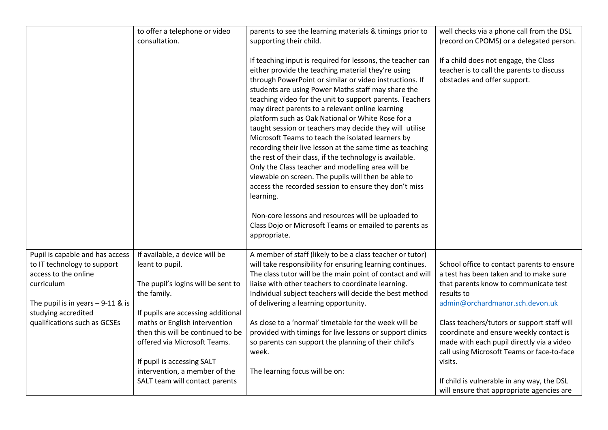|                                    | to offer a telephone or video      | parents to see the learning materials & timings prior to                                                                                                                                                                                                                                                                                                                                                                                                                                                                                                                                                                                                                                                                                                                                                                         | well checks via a phone call from the DSL                                                                          |
|------------------------------------|------------------------------------|----------------------------------------------------------------------------------------------------------------------------------------------------------------------------------------------------------------------------------------------------------------------------------------------------------------------------------------------------------------------------------------------------------------------------------------------------------------------------------------------------------------------------------------------------------------------------------------------------------------------------------------------------------------------------------------------------------------------------------------------------------------------------------------------------------------------------------|--------------------------------------------------------------------------------------------------------------------|
|                                    | consultation.                      | supporting their child.                                                                                                                                                                                                                                                                                                                                                                                                                                                                                                                                                                                                                                                                                                                                                                                                          | (record on CPOMS) or a delegated person.                                                                           |
|                                    |                                    | If teaching input is required for lessons, the teacher can<br>either provide the teaching material they're using<br>through PowerPoint or similar or video instructions. If<br>students are using Power Maths staff may share the<br>teaching video for the unit to support parents. Teachers<br>may direct parents to a relevant online learning<br>platform such as Oak National or White Rose for a<br>taught session or teachers may decide they will utilise<br>Microsoft Teams to teach the isolated learners by<br>recording their live lesson at the same time as teaching<br>the rest of their class, if the technology is available.<br>Only the Class teacher and modelling area will be<br>viewable on screen. The pupils will then be able to<br>access the recorded session to ensure they don't miss<br>learning. | If a child does not engage, the Class<br>teacher is to call the parents to discuss<br>obstacles and offer support. |
|                                    |                                    | Non-core lessons and resources will be uploaded to<br>Class Dojo or Microsoft Teams or emailed to parents as                                                                                                                                                                                                                                                                                                                                                                                                                                                                                                                                                                                                                                                                                                                     |                                                                                                                    |
|                                    |                                    | appropriate.                                                                                                                                                                                                                                                                                                                                                                                                                                                                                                                                                                                                                                                                                                                                                                                                                     |                                                                                                                    |
| Pupil is capable and has access    | If available, a device will be     | A member of staff (likely to be a class teacher or tutor)                                                                                                                                                                                                                                                                                                                                                                                                                                                                                                                                                                                                                                                                                                                                                                        |                                                                                                                    |
| to IT technology to support        | leant to pupil.                    | will take responsibility for ensuring learning continues.                                                                                                                                                                                                                                                                                                                                                                                                                                                                                                                                                                                                                                                                                                                                                                        | School office to contact parents to ensure                                                                         |
| access to the online<br>curriculum | The pupil's logins will be sent to | The class tutor will be the main point of contact and will<br>liaise with other teachers to coordinate learning.                                                                                                                                                                                                                                                                                                                                                                                                                                                                                                                                                                                                                                                                                                                 | a test has been taken and to make sure<br>that parents know to communicate test                                    |
|                                    | the family.                        | Individual subject teachers will decide the best method                                                                                                                                                                                                                                                                                                                                                                                                                                                                                                                                                                                                                                                                                                                                                                          | results to                                                                                                         |
| The pupil is in years $-9-11$ & is |                                    | of delivering a learning opportunity.                                                                                                                                                                                                                                                                                                                                                                                                                                                                                                                                                                                                                                                                                                                                                                                            | admin@orchardmanor.sch.devon.uk                                                                                    |
| studying accredited                | If pupils are accessing additional |                                                                                                                                                                                                                                                                                                                                                                                                                                                                                                                                                                                                                                                                                                                                                                                                                                  |                                                                                                                    |
| qualifications such as GCSEs       | maths or English intervention      | As close to a 'normal' timetable for the week will be                                                                                                                                                                                                                                                                                                                                                                                                                                                                                                                                                                                                                                                                                                                                                                            | Class teachers/tutors or support staff will                                                                        |
|                                    | then this will be continued to be  | provided with timings for live lessons or support clinics                                                                                                                                                                                                                                                                                                                                                                                                                                                                                                                                                                                                                                                                                                                                                                        | coordinate and ensure weekly contact is                                                                            |
|                                    | offered via Microsoft Teams.       | so parents can support the planning of their child's<br>week.                                                                                                                                                                                                                                                                                                                                                                                                                                                                                                                                                                                                                                                                                                                                                                    | made with each pupil directly via a video<br>call using Microsoft Teams or face-to-face                            |
|                                    | If pupil is accessing SALT         |                                                                                                                                                                                                                                                                                                                                                                                                                                                                                                                                                                                                                                                                                                                                                                                                                                  | visits.                                                                                                            |
|                                    | intervention, a member of the      | The learning focus will be on:                                                                                                                                                                                                                                                                                                                                                                                                                                                                                                                                                                                                                                                                                                                                                                                                   |                                                                                                                    |
|                                    | SALT team will contact parents     |                                                                                                                                                                                                                                                                                                                                                                                                                                                                                                                                                                                                                                                                                                                                                                                                                                  | If child is vulnerable in any way, the DSL                                                                         |
|                                    |                                    |                                                                                                                                                                                                                                                                                                                                                                                                                                                                                                                                                                                                                                                                                                                                                                                                                                  | will ensure that appropriate agencies are                                                                          |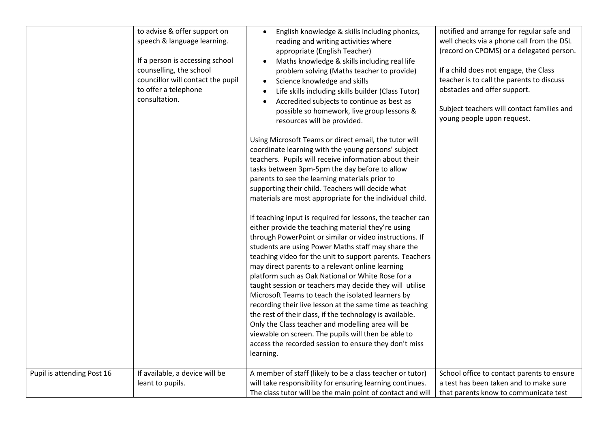|                            | to advise & offer support on<br>speech & language learning.<br>If a person is accessing school<br>counselling, the school<br>councillor will contact the pupil<br>to offer a telephone<br>consultation. | English knowledge & skills including phonics,<br>reading and writing activities where<br>appropriate (English Teacher)<br>Maths knowledge & skills including real life<br>problem solving (Maths teacher to provide)<br>Science knowledge and skills<br>Life skills including skills builder (Class Tutor)<br>Accredited subjects to continue as best as<br>possible so homework, live group lessons &<br>resources will be provided.<br>Using Microsoft Teams or direct email, the tutor will<br>coordinate learning with the young persons' subject<br>teachers. Pupils will receive information about their<br>tasks between 3pm-5pm the day before to allow<br>parents to see the learning materials prior to<br>supporting their child. Teachers will decide what<br>materials are most appropriate for the individual child.<br>If teaching input is required for lessons, the teacher can<br>either provide the teaching material they're using<br>through PowerPoint or similar or video instructions. If<br>students are using Power Maths staff may share the<br>teaching video for the unit to support parents. Teachers<br>may direct parents to a relevant online learning<br>platform such as Oak National or White Rose for a<br>taught session or teachers may decide they will utilise<br>Microsoft Teams to teach the isolated learners by<br>recording their live lesson at the same time as teaching | notified and arrange for regular safe and<br>well checks via a phone call from the DSL<br>(record on CPOMS) or a delegated person.<br>If a child does not engage, the Class<br>teacher is to call the parents to discuss<br>obstacles and offer support.<br>Subject teachers will contact families and<br>young people upon request. |
|----------------------------|---------------------------------------------------------------------------------------------------------------------------------------------------------------------------------------------------------|--------------------------------------------------------------------------------------------------------------------------------------------------------------------------------------------------------------------------------------------------------------------------------------------------------------------------------------------------------------------------------------------------------------------------------------------------------------------------------------------------------------------------------------------------------------------------------------------------------------------------------------------------------------------------------------------------------------------------------------------------------------------------------------------------------------------------------------------------------------------------------------------------------------------------------------------------------------------------------------------------------------------------------------------------------------------------------------------------------------------------------------------------------------------------------------------------------------------------------------------------------------------------------------------------------------------------------------------------------------------------------------------------------------------------|--------------------------------------------------------------------------------------------------------------------------------------------------------------------------------------------------------------------------------------------------------------------------------------------------------------------------------------|
|                            |                                                                                                                                                                                                         | the rest of their class, if the technology is available.<br>Only the Class teacher and modelling area will be<br>viewable on screen. The pupils will then be able to<br>access the recorded session to ensure they don't miss                                                                                                                                                                                                                                                                                                                                                                                                                                                                                                                                                                                                                                                                                                                                                                                                                                                                                                                                                                                                                                                                                                                                                                                            |                                                                                                                                                                                                                                                                                                                                      |
| Pupil is attending Post 16 | If available, a device will be                                                                                                                                                                          | learning.<br>A member of staff (likely to be a class teacher or tutor)                                                                                                                                                                                                                                                                                                                                                                                                                                                                                                                                                                                                                                                                                                                                                                                                                                                                                                                                                                                                                                                                                                                                                                                                                                                                                                                                                   | School office to contact parents to ensure                                                                                                                                                                                                                                                                                           |
|                            | leant to pupils.                                                                                                                                                                                        | will take responsibility for ensuring learning continues.<br>The class tutor will be the main point of contact and will                                                                                                                                                                                                                                                                                                                                                                                                                                                                                                                                                                                                                                                                                                                                                                                                                                                                                                                                                                                                                                                                                                                                                                                                                                                                                                  | a test has been taken and to make sure<br>that parents know to communicate test                                                                                                                                                                                                                                                      |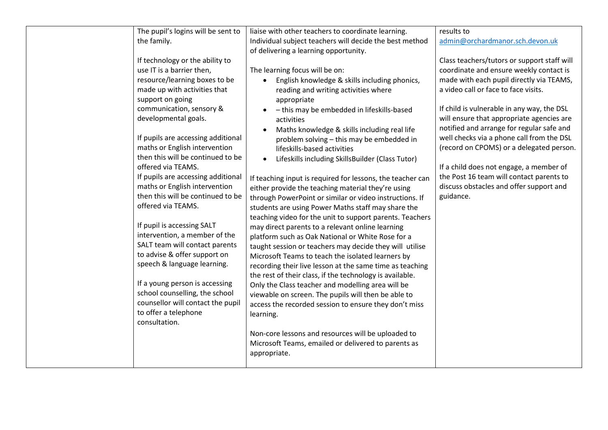| The pupil's logins will be sent to<br>the family.<br>If technology or the ability to<br>use IT is a barrier then,<br>resource/learning boxes to be<br>made up with activities that<br>support on going<br>communication, sensory &<br>developmental goals.<br>If pupils are accessing additional<br>maths or English intervention<br>then this will be continued to be<br>offered via TEAMS.<br>If pupils are accessing additional<br>maths or English intervention<br>then this will be continued to be<br>offered via TEAMS.<br>If pupil is accessing SALT<br>intervention, a member of the<br>SALT team will contact parents<br>to advise & offer support on<br>speech & language learning.<br>If a young person is accessing<br>school counselling, the school<br>counsellor will contact the pupil<br>to offer a telephone<br>consultation. | liaise with other teachers to coordinate learning.<br>Individual subject teachers will decide the best method<br>of delivering a learning opportunity.<br>The learning focus will be on:<br>English knowledge & skills including phonics,<br>reading and writing activities where<br>appropriate<br>- this may be embedded in lifeskills-based<br>activities<br>Maths knowledge & skills including real life<br>problem solving - this may be embedded in<br>lifeskills-based activities<br>Lifeskills including SkillsBuilder (Class Tutor)<br>$\bullet$<br>If teaching input is required for lessons, the teacher can<br>either provide the teaching material they're using<br>through PowerPoint or similar or video instructions. If<br>students are using Power Maths staff may share the<br>teaching video for the unit to support parents. Teachers<br>may direct parents to a relevant online learning<br>platform such as Oak National or White Rose for a<br>taught session or teachers may decide they will utilise<br>Microsoft Teams to teach the isolated learners by<br>recording their live lesson at the same time as teaching<br>the rest of their class, if the technology is available.<br>Only the Class teacher and modelling area will be<br>viewable on screen. The pupils will then be able to<br>access the recorded session to ensure they don't miss<br>learning.<br>Non-core lessons and resources will be uploaded to<br>Microsoft Teams, emailed or delivered to parents as | results to<br>admin@orchardmanor.sch.devon.uk<br>Class teachers/tutors or support staff will<br>coordinate and ensure weekly contact is<br>made with each pupil directly via TEAMS,<br>a video call or face to face visits.<br>If child is vulnerable in any way, the DSL<br>will ensure that appropriate agencies are<br>notified and arrange for regular safe and<br>well checks via a phone call from the DSL<br>(record on CPOMS) or a delegated person.<br>If a child does not engage, a member of<br>the Post 16 team will contact parents to<br>discuss obstacles and offer support and<br>guidance. |
|--------------------------------------------------------------------------------------------------------------------------------------------------------------------------------------------------------------------------------------------------------------------------------------------------------------------------------------------------------------------------------------------------------------------------------------------------------------------------------------------------------------------------------------------------------------------------------------------------------------------------------------------------------------------------------------------------------------------------------------------------------------------------------------------------------------------------------------------------|------------------------------------------------------------------------------------------------------------------------------------------------------------------------------------------------------------------------------------------------------------------------------------------------------------------------------------------------------------------------------------------------------------------------------------------------------------------------------------------------------------------------------------------------------------------------------------------------------------------------------------------------------------------------------------------------------------------------------------------------------------------------------------------------------------------------------------------------------------------------------------------------------------------------------------------------------------------------------------------------------------------------------------------------------------------------------------------------------------------------------------------------------------------------------------------------------------------------------------------------------------------------------------------------------------------------------------------------------------------------------------------------------------------------------------------------------------------------------------------------------------|-------------------------------------------------------------------------------------------------------------------------------------------------------------------------------------------------------------------------------------------------------------------------------------------------------------------------------------------------------------------------------------------------------------------------------------------------------------------------------------------------------------------------------------------------------------------------------------------------------------|
|                                                                                                                                                                                                                                                                                                                                                                                                                                                                                                                                                                                                                                                                                                                                                                                                                                                  | appropriate.                                                                                                                                                                                                                                                                                                                                                                                                                                                                                                                                                                                                                                                                                                                                                                                                                                                                                                                                                                                                                                                                                                                                                                                                                                                                                                                                                                                                                                                                                               |                                                                                                                                                                                                                                                                                                                                                                                                                                                                                                                                                                                                             |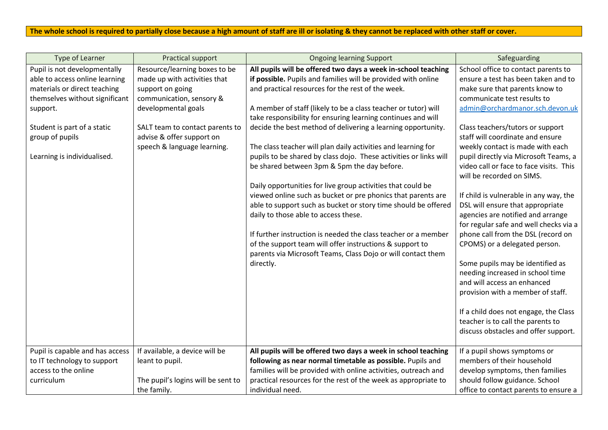# **The whole school is required to partially close because a high amount of staff are ill or isolating & they cannot be replaced with other staff or cover.**

| Type of Learner                 | Practical support                  | <b>Ongoing learning Support</b>                                   | Safeguarding                            |
|---------------------------------|------------------------------------|-------------------------------------------------------------------|-----------------------------------------|
| Pupil is not developmentally    | Resource/learning boxes to be      | All pupils will be offered two days a week in-school teaching     | School office to contact parents to     |
| able to access online learning  | made up with activities that       | if possible. Pupils and families will be provided with online     | ensure a test has been taken and to     |
| materials or direct teaching    | support on going                   | and practical resources for the rest of the week.                 | make sure that parents know to          |
| themselves without significant  | communication, sensory &           |                                                                   | communicate test results to             |
| support.                        | developmental goals                | A member of staff (likely to be a class teacher or tutor) will    | admin@orchardmanor.sch.devon.uk         |
|                                 |                                    | take responsibility for ensuring learning continues and will      |                                         |
| Student is part of a static     | SALT team to contact parents to    | decide the best method of delivering a learning opportunity.      | Class teachers/tutors or support        |
| group of pupils                 | advise & offer support on          |                                                                   | staff will coordinate and ensure        |
|                                 | speech & language learning.        | The class teacher will plan daily activities and learning for     | weekly contact is made with each        |
| Learning is individualised.     |                                    | pupils to be shared by class dojo. These activities or links will | pupil directly via Microsoft Teams, a   |
|                                 |                                    | be shared between 3pm & 5pm the day before.                       | video call or face to face visits. This |
|                                 |                                    |                                                                   | will be recorded on SIMS.               |
|                                 |                                    | Daily opportunities for live group activities that could be       |                                         |
|                                 |                                    | viewed online such as bucket or pre phonics that parents are      | If child is vulnerable in any way, the  |
|                                 |                                    | able to support such as bucket or story time should be offered    | DSL will ensure that appropriate        |
|                                 |                                    | daily to those able to access these.                              | agencies are notified and arrange       |
|                                 |                                    |                                                                   | for regular safe and well checks via a  |
|                                 |                                    | If further instruction is needed the class teacher or a member    | phone call from the DSL (record on      |
|                                 |                                    | of the support team will offer instructions & support to          | CPOMS) or a delegated person.           |
|                                 |                                    | parents via Microsoft Teams, Class Dojo or will contact them      |                                         |
|                                 |                                    | directly.                                                         | Some pupils may be identified as        |
|                                 |                                    |                                                                   | needing increased in school time        |
|                                 |                                    |                                                                   | and will access an enhanced             |
|                                 |                                    |                                                                   | provision with a member of staff.       |
|                                 |                                    |                                                                   |                                         |
|                                 |                                    |                                                                   | If a child does not engage, the Class   |
|                                 |                                    |                                                                   | teacher is to call the parents to       |
|                                 |                                    |                                                                   | discuss obstacles and offer support.    |
|                                 |                                    |                                                                   |                                         |
| Pupil is capable and has access | If available, a device will be     | All pupils will be offered two days a week in school teaching     | If a pupil shows symptoms or            |
| to IT technology to support     | leant to pupil.                    | following as near normal timetable as possible. Pupils and        | members of their household              |
| access to the online            |                                    | families will be provided with online activities, outreach and    | develop symptoms, then families         |
| curriculum                      | The pupil's logins will be sent to | practical resources for the rest of the week as appropriate to    | should follow guidance. School          |
|                                 | the family.                        | individual need.                                                  | office to contact parents to ensure a   |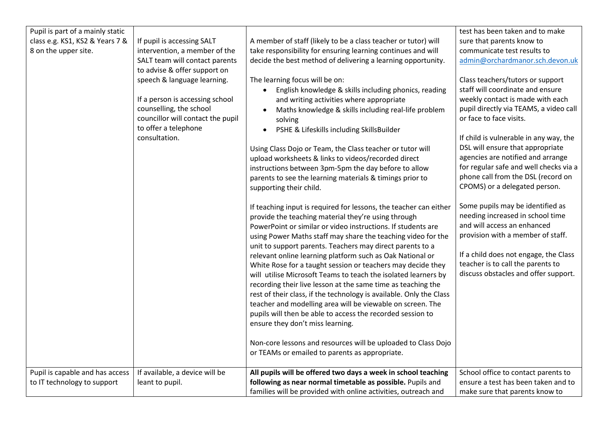| Pupil is part of a mainly static |                                   |                                                                     | test has been taken and to make        |
|----------------------------------|-----------------------------------|---------------------------------------------------------------------|----------------------------------------|
| class e.g. KS1, KS2 & Years 7 &  | If pupil is accessing SALT        | A member of staff (likely to be a class teacher or tutor) will      | sure that parents know to              |
| 8 on the upper site.             | intervention, a member of the     | take responsibility for ensuring learning continues and will        | communicate test results to            |
|                                  | SALT team will contact parents    | decide the best method of delivering a learning opportunity.        | admin@orchardmanor.sch.devon.uk        |
|                                  | to advise & offer support on      |                                                                     |                                        |
|                                  | speech & language learning.       | The learning focus will be on:                                      | Class teachers/tutors or support       |
|                                  |                                   | • English knowledge & skills including phonics, reading             | staff will coordinate and ensure       |
|                                  | If a person is accessing school   | and writing activities where appropriate                            | weekly contact is made with each       |
|                                  | counselling, the school           | Maths knowledge & skills including real-life problem                | pupil directly via TEAMS, a video call |
|                                  | councillor will contact the pupil | solving                                                             | or face to face visits.                |
|                                  | to offer a telephone              | PSHE & Lifeskills including SkillsBuilder<br>$\bullet$              |                                        |
|                                  | consultation.                     |                                                                     | If child is vulnerable in any way, the |
|                                  |                                   | Using Class Dojo or Team, the Class teacher or tutor will           | DSL will ensure that appropriate       |
|                                  |                                   | upload worksheets & links to videos/recorded direct                 | agencies are notified and arrange      |
|                                  |                                   | instructions between 3pm-5pm the day before to allow                | for regular safe and well checks via a |
|                                  |                                   | parents to see the learning materials & timings prior to            | phone call from the DSL (record on     |
|                                  |                                   | supporting their child.                                             | CPOMS) or a delegated person.          |
|                                  |                                   |                                                                     |                                        |
|                                  |                                   | If teaching input is required for lessons, the teacher can either   | Some pupils may be identified as       |
|                                  |                                   | provide the teaching material they're using through                 | needing increased in school time       |
|                                  |                                   | PowerPoint or similar or video instructions. If students are        | and will access an enhanced            |
|                                  |                                   | using Power Maths staff may share the teaching video for the        | provision with a member of staff.      |
|                                  |                                   | unit to support parents. Teachers may direct parents to a           |                                        |
|                                  |                                   | relevant online learning platform such as Oak National or           | If a child does not engage, the Class  |
|                                  |                                   | White Rose for a taught session or teachers may decide they         | teacher is to call the parents to      |
|                                  |                                   | will utilise Microsoft Teams to teach the isolated learners by      | discuss obstacles and offer support.   |
|                                  |                                   | recording their live lesson at the same time as teaching the        |                                        |
|                                  |                                   | rest of their class, if the technology is available. Only the Class |                                        |
|                                  |                                   | teacher and modelling area will be viewable on screen. The          |                                        |
|                                  |                                   | pupils will then be able to access the recorded session to          |                                        |
|                                  |                                   | ensure they don't miss learning.                                    |                                        |
|                                  |                                   |                                                                     |                                        |
|                                  |                                   | Non-core lessons and resources will be uploaded to Class Dojo       |                                        |
|                                  |                                   | or TEAMs or emailed to parents as appropriate.                      |                                        |
|                                  |                                   |                                                                     |                                        |
| Pupil is capable and has access  | If available, a device will be    | All pupils will be offered two days a week in school teaching       | School office to contact parents to    |
| to IT technology to support      | leant to pupil.                   | following as near normal timetable as possible. Pupils and          | ensure a test has been taken and to    |
|                                  |                                   | families will be provided with online activities, outreach and      | make sure that parents know to         |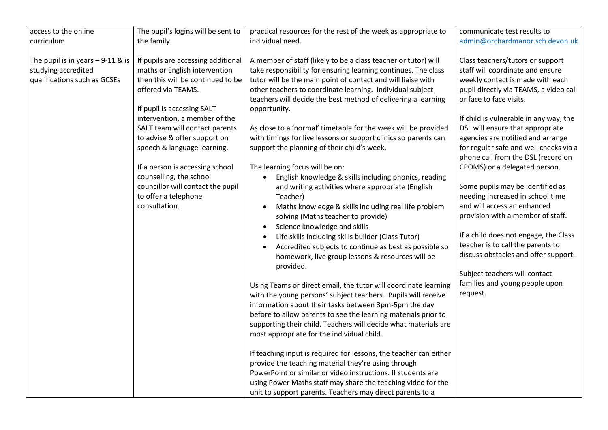| access to the online                                                                      |                                                                                                                                                                                                                                                                                                                                                                                                                                            |                                                                                                                                                                                                                                                                                                                                                                                                                                                                                                                                                                                                                                                                                                                                                                                                                                                                                                                                                                                                                                                                                                                                                                                                                                                                                                                                                                                                                                                                                                                                                                                                                                                                                     | communicate test results to                                                                                                                                                                                                                                                                                                                                                                                                                                                                                                                                                                                                                                                                                                                                        |
|-------------------------------------------------------------------------------------------|--------------------------------------------------------------------------------------------------------------------------------------------------------------------------------------------------------------------------------------------------------------------------------------------------------------------------------------------------------------------------------------------------------------------------------------------|-------------------------------------------------------------------------------------------------------------------------------------------------------------------------------------------------------------------------------------------------------------------------------------------------------------------------------------------------------------------------------------------------------------------------------------------------------------------------------------------------------------------------------------------------------------------------------------------------------------------------------------------------------------------------------------------------------------------------------------------------------------------------------------------------------------------------------------------------------------------------------------------------------------------------------------------------------------------------------------------------------------------------------------------------------------------------------------------------------------------------------------------------------------------------------------------------------------------------------------------------------------------------------------------------------------------------------------------------------------------------------------------------------------------------------------------------------------------------------------------------------------------------------------------------------------------------------------------------------------------------------------------------------------------------------------|--------------------------------------------------------------------------------------------------------------------------------------------------------------------------------------------------------------------------------------------------------------------------------------------------------------------------------------------------------------------------------------------------------------------------------------------------------------------------------------------------------------------------------------------------------------------------------------------------------------------------------------------------------------------------------------------------------------------------------------------------------------------|
|                                                                                           | The pupil's logins will be sent to                                                                                                                                                                                                                                                                                                                                                                                                         | practical resources for the rest of the week as appropriate to                                                                                                                                                                                                                                                                                                                                                                                                                                                                                                                                                                                                                                                                                                                                                                                                                                                                                                                                                                                                                                                                                                                                                                                                                                                                                                                                                                                                                                                                                                                                                                                                                      |                                                                                                                                                                                                                                                                                                                                                                                                                                                                                                                                                                                                                                                                                                                                                                    |
| curriculum                                                                                | the family.                                                                                                                                                                                                                                                                                                                                                                                                                                | individual need.                                                                                                                                                                                                                                                                                                                                                                                                                                                                                                                                                                                                                                                                                                                                                                                                                                                                                                                                                                                                                                                                                                                                                                                                                                                                                                                                                                                                                                                                                                                                                                                                                                                                    | admin@orchardmanor.sch.devon.uk                                                                                                                                                                                                                                                                                                                                                                                                                                                                                                                                                                                                                                                                                                                                    |
| The pupil is in years $-9-11$ & is<br>studying accredited<br>qualifications such as GCSEs | If pupils are accessing additional<br>maths or English intervention<br>then this will be continued to be<br>offered via TEAMS.<br>If pupil is accessing SALT<br>intervention, a member of the<br>SALT team will contact parents<br>to advise & offer support on<br>speech & language learning.<br>If a person is accessing school<br>counselling, the school<br>councillor will contact the pupil<br>to offer a telephone<br>consultation. | A member of staff (likely to be a class teacher or tutor) will<br>take responsibility for ensuring learning continues. The class<br>tutor will be the main point of contact and will liaise with<br>other teachers to coordinate learning. Individual subject<br>teachers will decide the best method of delivering a learning<br>opportunity.<br>As close to a 'normal' timetable for the week will be provided<br>with timings for live lessons or support clinics so parents can<br>support the planning of their child's week.<br>The learning focus will be on:<br>English knowledge & skills including phonics, reading<br>$\bullet$<br>and writing activities where appropriate (English<br>Teacher)<br>Maths knowledge & skills including real life problem<br>$\bullet$<br>solving (Maths teacher to provide)<br>Science knowledge and skills<br>Life skills including skills builder (Class Tutor)<br>Accredited subjects to continue as best as possible so<br>homework, live group lessons & resources will be<br>provided.<br>Using Teams or direct email, the tutor will coordinate learning<br>with the young persons' subject teachers. Pupils will receive<br>information about their tasks between 3pm-5pm the day<br>before to allow parents to see the learning materials prior to<br>supporting their child. Teachers will decide what materials are<br>most appropriate for the individual child.<br>If teaching input is required for lessons, the teacher can either<br>provide the teaching material they're using through<br>PowerPoint or similar or video instructions. If students are<br>using Power Maths staff may share the teaching video for the | Class teachers/tutors or support<br>staff will coordinate and ensure<br>weekly contact is made with each<br>pupil directly via TEAMS, a video call<br>or face to face visits.<br>If child is vulnerable in any way, the<br>DSL will ensure that appropriate<br>agencies are notified and arrange<br>for regular safe and well checks via a<br>phone call from the DSL (record on<br>CPOMS) or a delegated person.<br>Some pupils may be identified as<br>needing increased in school time<br>and will access an enhanced<br>provision with a member of staff.<br>If a child does not engage, the Class<br>teacher is to call the parents to<br>discuss obstacles and offer support.<br>Subject teachers will contact<br>families and young people upon<br>request. |
|                                                                                           |                                                                                                                                                                                                                                                                                                                                                                                                                                            | unit to support parents. Teachers may direct parents to a                                                                                                                                                                                                                                                                                                                                                                                                                                                                                                                                                                                                                                                                                                                                                                                                                                                                                                                                                                                                                                                                                                                                                                                                                                                                                                                                                                                                                                                                                                                                                                                                                           |                                                                                                                                                                                                                                                                                                                                                                                                                                                                                                                                                                                                                                                                                                                                                                    |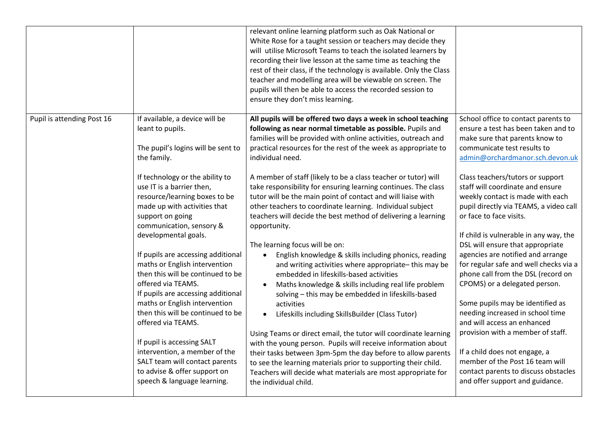|                            |                                                                                                                                                                                                                                                                  | relevant online learning platform such as Oak National or<br>White Rose for a taught session or teachers may decide they<br>will utilise Microsoft Teams to teach the isolated learners by<br>recording their live lesson at the same time as teaching the<br>rest of their class, if the technology is available. Only the Class<br>teacher and modelling area will be viewable on screen. The<br>pupils will then be able to access the recorded session to<br>ensure they don't miss learning. |                                                                                                                                                                                                                                                                                               |
|----------------------------|------------------------------------------------------------------------------------------------------------------------------------------------------------------------------------------------------------------------------------------------------------------|---------------------------------------------------------------------------------------------------------------------------------------------------------------------------------------------------------------------------------------------------------------------------------------------------------------------------------------------------------------------------------------------------------------------------------------------------------------------------------------------------|-----------------------------------------------------------------------------------------------------------------------------------------------------------------------------------------------------------------------------------------------------------------------------------------------|
| Pupil is attending Post 16 | If available, a device will be<br>leant to pupils.<br>The pupil's logins will be sent to<br>the family.                                                                                                                                                          | All pupils will be offered two days a week in school teaching<br>following as near normal timetable as possible. Pupils and<br>families will be provided with online activities, outreach and<br>practical resources for the rest of the week as appropriate to<br>individual need.                                                                                                                                                                                                               | School office to contact parents to<br>ensure a test has been taken and to<br>make sure that parents know to<br>communicate test results to<br>admin@orchardmanor.sch.devon.uk                                                                                                                |
|                            | If technology or the ability to<br>use IT is a barrier then,<br>resource/learning boxes to be<br>made up with activities that<br>support on going<br>communication, sensory &<br>developmental goals.                                                            | A member of staff (likely to be a class teacher or tutor) will<br>take responsibility for ensuring learning continues. The class<br>tutor will be the main point of contact and will liaise with<br>other teachers to coordinate learning. Individual subject<br>teachers will decide the best method of delivering a learning<br>opportunity.                                                                                                                                                    | Class teachers/tutors or support<br>staff will coordinate and ensure<br>weekly contact is made with each<br>pupil directly via TEAMS, a video call<br>or face to face visits.<br>If child is vulnerable in any way, the                                                                       |
|                            | If pupils are accessing additional<br>maths or English intervention<br>then this will be continued to be<br>offered via TEAMS.<br>If pupils are accessing additional<br>maths or English intervention<br>then this will be continued to be<br>offered via TEAMS. | The learning focus will be on:<br>English knowledge & skills including phonics, reading<br>$\bullet$<br>and writing activities where appropriate-this may be<br>embedded in lifeskills-based activities<br>Maths knowledge & skills including real life problem<br>solving - this may be embedded in lifeskills-based<br>activities<br>Lifeskills including SkillsBuilder (Class Tutor)<br>$\bullet$                                                                                              | DSL will ensure that appropriate<br>agencies are notified and arrange<br>for regular safe and well checks via a<br>phone call from the DSL (record on<br>CPOMS) or a delegated person.<br>Some pupils may be identified as<br>needing increased in school time<br>and will access an enhanced |
|                            | If pupil is accessing SALT<br>intervention, a member of the<br>SALT team will contact parents<br>to advise & offer support on<br>speech & language learning.                                                                                                     | Using Teams or direct email, the tutor will coordinate learning<br>with the young person. Pupils will receive information about<br>their tasks between 3pm-5pm the day before to allow parents<br>to see the learning materials prior to supporting their child.<br>Teachers will decide what materials are most appropriate for<br>the individual child.                                                                                                                                         | provision with a member of staff.<br>If a child does not engage, a<br>member of the Post 16 team will<br>contact parents to discuss obstacles<br>and offer support and guidance.                                                                                                              |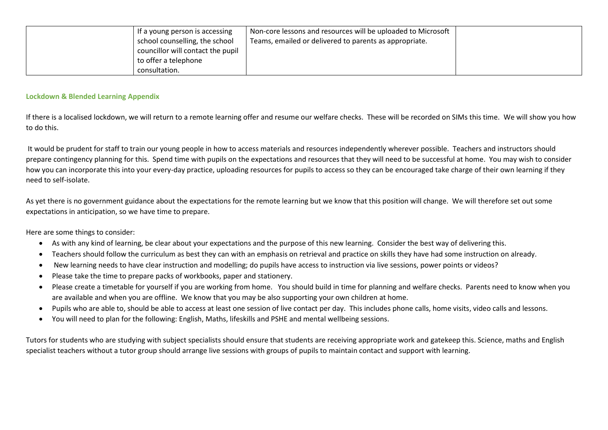| If a young person is accessing<br>school counselling, the school | Non-core lessons and resources will be uploaded to Microsoft<br>Teams, emailed or delivered to parents as appropriate. |  |
|------------------------------------------------------------------|------------------------------------------------------------------------------------------------------------------------|--|
| councillor will contact the pupil                                |                                                                                                                        |  |
| to offer a telephone                                             |                                                                                                                        |  |
| consultation.                                                    |                                                                                                                        |  |

#### **Lockdown & Blended Learning Appendix**

If there is a localised lockdown, we will return to a remote learning offer and resume our welfare checks. These will be recorded on SIMs this time. We will show you how to do this.

It would be prudent for staff to train our young people in how to access materials and resources independently wherever possible. Teachers and instructors should prepare contingency planning for this. Spend time with pupils on the expectations and resources that they will need to be successful at home. You may wish to consider how you can incorporate this into your every-day practice, uploading resources for pupils to access so they can be encouraged take charge of their own learning if they need to self-isolate.

As yet there is no government guidance about the expectations for the remote learning but we know that this position will change. We will therefore set out some expectations in anticipation, so we have time to prepare.

Here are some things to consider:

- As with any kind of learning, be clear about your expectations and the purpose of this new learning. Consider the best way of delivering this.
- Teachers should follow the curriculum as best they can with an emphasis on retrieval and practice on skills they have had some instruction on already.
- New learning needs to have clear instruction and modelling; do pupils have access to instruction via live sessions, power points or videos?
- Please take the time to prepare packs of workbooks, paper and stationery.
- Please create a timetable for yourself if you are working from home. You should build in time for planning and welfare checks. Parents need to know when you are available and when you are offline. We know that you may be also supporting your own children at home.
- Pupils who are able to, should be able to access at least one session of live contact per day. This includes phone calls, home visits, video calls and lessons.
- You will need to plan for the following: English, Maths, lifeskills and PSHE and mental wellbeing sessions.

Tutors for students who are studying with subject specialists should ensure that students are receiving appropriate work and gatekeep this. Science, maths and English specialist teachers without a tutor group should arrange live sessions with groups of pupils to maintain contact and support with learning.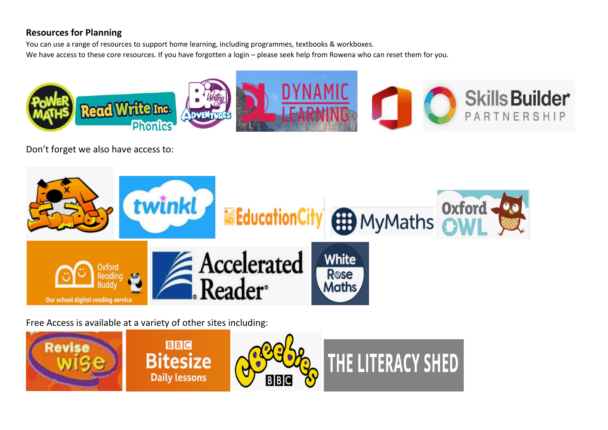# **Resources for Planning**

You can use a range of resources to support home learning, including programmes, textbooks & workboxes. We have access to these core resources. If you have forgotten a login – please seek help from Rowena who can reset them for you.



Don't forget we also have access to:



Free Access is available at a variety of other sites including:

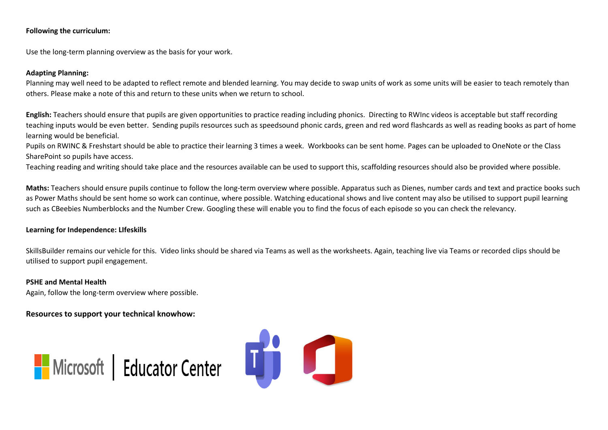### **Following the curriculum:**

Use the long-term planning overview as the basis for your work.

### **Adapting Planning:**

Planning may well need to be adapted to reflect remote and blended learning. You may decide to swap units of work as some units will be easier to teach remotely than others. Please make a note of this and return to these units when we return to school.

**English:** Teachers should ensure that pupils are given opportunities to practice reading including phonics. Directing to RWInc videos is acceptable but staff recording teaching inputs would be even better. Sending pupils resources such as speedsound phonic cards, green and red word flashcards as well as reading books as part of home learning would be beneficial.

Pupils on RWINC & Freshstart should be able to practice their learning 3 times a week. Workbooks can be sent home. Pages can be uploaded to OneNote or the Class SharePoint so pupils have access.

Teaching reading and writing should take place and the resources available can be used to support this, scaffolding resources should also be provided where possible.

**Maths:** Teachers should ensure pupils continue to follow the long-term overview where possible. Apparatus such as Dienes, number cards and text and practice books such as Power Maths should be sent home so work can continue, where possible. Watching educational shows and live content may also be utilised to support pupil learning such as CBeebies Numberblocks and the Number Crew. Googling these will enable you to find the focus of each episode so you can check the relevancy.

#### **Learning for Independence: LIfeskills**

SkillsBuilder remains our vehicle for this. Video links should be shared via Teams as well as the worksheets. Again, teaching live via Teams or recorded clips should be utilised to support pupil engagement.

#### **PSHE and Mental Health**

Again, follow the long-term overview where possible.

**Resources to support your technical knowhow:**



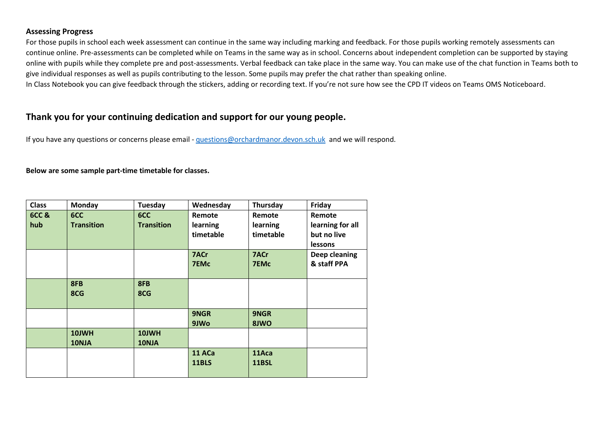### **Assessing Progress**

For those pupils in school each week assessment can continue in the same way including marking and feedback. For those pupils working remotely assessments can continue online. Pre-assessments can be completed while on Teams in the same way as in school. Concerns about independent completion can be supported by staying online with pupils while they complete pre and post-assessments. Verbal feedback can take place in the same way. You can make use of the chat function in Teams both to give individual responses as well as pupils contributing to the lesson. Some pupils may prefer the chat rather than speaking online.

In Class Notebook you can give feedback through the stickers, adding or recording text. If you're not sure how see the CPD IT videos on Teams OMS Noticeboard.

# **Thank you for your continuing dedication and support for our young people.**

If you have any questions or concerns please email - [questions@orchardmanor.devon.sch.uk](mailto:questions@orchardmanor.devon.sch.uk) and we will respond.

### **Below are some sample part-time timetable for classes.**

| <b>Class</b> | Monday            | Tuesday           | Wednesday   | Thursday  | Friday           |
|--------------|-------------------|-------------------|-------------|-----------|------------------|
| 6CC&         | 6CC               | 6CC               | Remote      | Remote    | Remote           |
| hub          | <b>Transition</b> | <b>Transition</b> | learning    | learning  | learning for all |
|              |                   |                   | timetable   | timetable | but no live      |
|              |                   |                   |             |           | lessons          |
|              |                   |                   | 7ACr        | 7ACr      | Deep cleaning    |
|              |                   |                   | <b>7EMc</b> | 7EMc      | & staff PPA      |
|              |                   |                   |             |           |                  |
|              | 8FB               | 8FB               |             |           |                  |
|              | 8CG               | 8CG               |             |           |                  |
|              |                   |                   |             |           |                  |
|              |                   |                   | 9NGR        | 9NGR      |                  |
|              |                   |                   | 9JWo        | 8JWO      |                  |
|              | 10JWH             | 10JWH             |             |           |                  |
|              | 10NJA             | 10NJA             |             |           |                  |
|              |                   |                   | 11 ACa      | 11Aca     |                  |
|              |                   |                   | 11BLS       | 11BSL     |                  |
|              |                   |                   |             |           |                  |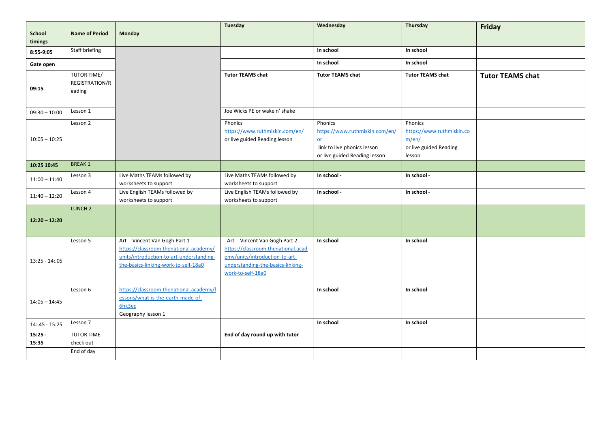| School<br>timings  | <b>Name of Period</b>                   | Monday                                                                                                                                                      | <b>Tuesday</b>                                                                                                                                                  | Wednesday                                                                                                         | Thursday                                                                          | Friday                  |
|--------------------|-----------------------------------------|-------------------------------------------------------------------------------------------------------------------------------------------------------------|-----------------------------------------------------------------------------------------------------------------------------------------------------------------|-------------------------------------------------------------------------------------------------------------------|-----------------------------------------------------------------------------------|-------------------------|
| 8:55-9:05          | Staff briefing                          |                                                                                                                                                             |                                                                                                                                                                 | In school                                                                                                         | In school                                                                         |                         |
| Gate open          |                                         |                                                                                                                                                             |                                                                                                                                                                 | In school                                                                                                         | In school                                                                         |                         |
| 09:15              | TUTOR TIME/<br>REGISTRATION/R<br>eading |                                                                                                                                                             | <b>Tutor TEAMS chat</b>                                                                                                                                         | <b>Tutor TEAMS chat</b>                                                                                           | <b>Tutor TEAMS chat</b>                                                           | <b>Tutor TEAMS chat</b> |
| $09:30 - 10:00$    | Lesson 1                                |                                                                                                                                                             | Joe Wicks PE or wake n' shake                                                                                                                                   |                                                                                                                   |                                                                                   |                         |
| $10:05 - 10:25$    | Lesson 2                                |                                                                                                                                                             | Phonics<br>https://www.ruthmiskin.com/en/<br>or live guided Reading lesson                                                                                      | Phonics<br>https://www.ruthmiskin.com/en/<br>$or$<br>link to live phonics lesson<br>or live guided Reading lesson | Phonics<br>https://www.ruthmiskin.co<br>m/en/<br>or live guided Reading<br>lesson |                         |
| 10:25 10:45        | <b>BREAK1</b>                           |                                                                                                                                                             |                                                                                                                                                                 |                                                                                                                   |                                                                                   |                         |
| $11:00 - 11:40$    | Lesson 3                                | Live Maths TEAMs followed by<br>worksheets to support                                                                                                       | Live Maths TEAMs followed by<br>worksheets to support                                                                                                           | In school -                                                                                                       | In school -                                                                       |                         |
| $11:40 - 12:20$    | Lesson 4                                | Live English TEAMs followed by<br>worksheets to support                                                                                                     | Live English TEAMs followed by<br>worksheets to support                                                                                                         | In school -                                                                                                       | In school -                                                                       |                         |
| $12:20 - 12:20$    | LUNCH <sub>2</sub>                      |                                                                                                                                                             |                                                                                                                                                                 |                                                                                                                   |                                                                                   |                         |
| $13:25 - 14:05$    | Lesson 5                                | Art - Vincent Van Gogh Part 1<br>https://classroom.thenational.academy/<br>units/introduction-to-art-understanding-<br>the-basics-linking-work-to-self-18a0 | Art - Vincent Van Gogh Part 2<br>https://classroom.thenational.acad<br>emy/units/introduction-to-art-<br>understanding-the-basics-linking-<br>work-to-self-18a0 | In school                                                                                                         | In school                                                                         |                         |
| $14:05 - 14:45$    | Lesson 6                                | https://classroom.thenational.academy/l<br>essons/what-is-the-earth-made-of-<br>6hk3ec<br>Geography lesson 1                                                |                                                                                                                                                                 | In school                                                                                                         | In school                                                                         |                         |
| $14:45 - 15:25$    | Lesson 7                                |                                                                                                                                                             |                                                                                                                                                                 | In school                                                                                                         | In school                                                                         |                         |
| $15:25 -$<br>15:35 | TUTOR TIME<br>check out<br>End of day   |                                                                                                                                                             | End of day round up with tutor                                                                                                                                  |                                                                                                                   |                                                                                   |                         |
|                    |                                         |                                                                                                                                                             |                                                                                                                                                                 |                                                                                                                   |                                                                                   |                         |